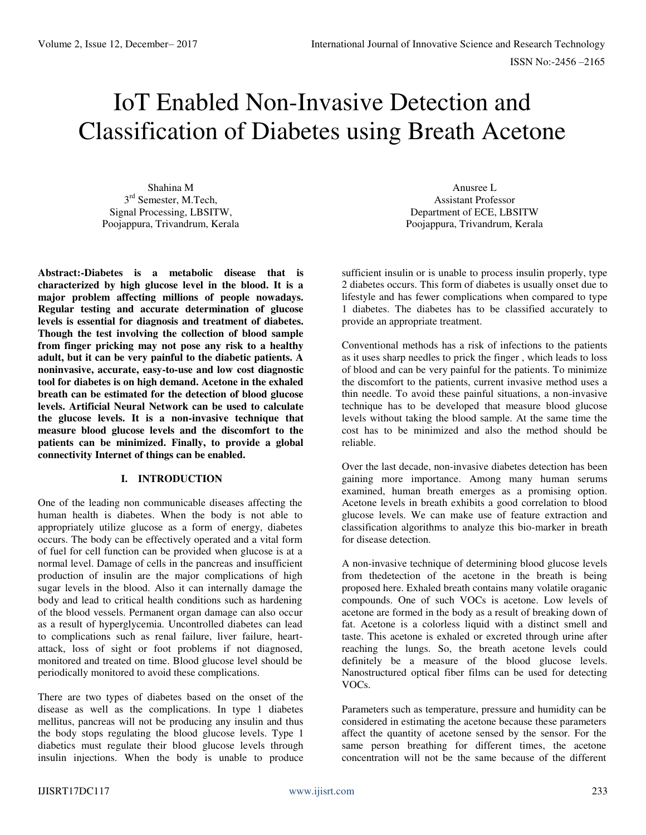# IoT Enabled Non-Invasive Detection and Classification of Diabetes using Breath Acetone

Shahina M 3<sup>rd</sup> Semester, M.Tech, Signal Processing, LBSITW, Poojappura, Trivandrum, Kerala

**Abstract:-Diabetes is a metabolic disease that is characterized by high glucose level in the blood. It is a major problem affecting millions of people nowadays. Regular testing and accurate determination of glucose levels is essential for diagnosis and treatment of diabetes. Though the test involving the collection of blood sample from finger pricking may not pose any risk to a healthy adult, but it can be very painful to the diabetic patients. A noninvasive, accurate, easy-to-use and low cost diagnostic tool for diabetes is on high demand. Acetone in the exhaled breath can be estimated for the detection of blood glucose levels. Artificial Neural Network can be used to calculate the glucose levels. It is a non-invasive technique that measure blood glucose levels and the discomfort to the patients can be minimized. Finally, to provide a global connectivity Internet of things can be enabled.** 

# **I. INTRODUCTION**

One of the leading non communicable diseases affecting the human health is diabetes. When the body is not able to appropriately utilize glucose as a form of energy, diabetes occurs. The body can be effectively operated and a vital form of fuel for cell function can be provided when glucose is at a normal level. Damage of cells in the pancreas and insufficient production of insulin are the major complications of high sugar levels in the blood. Also it can internally damage the body and lead to critical health conditions such as hardening of the blood vessels. Permanent organ damage can also occur as a result of hyperglycemia. Uncontrolled diabetes can lead to complications such as renal failure, liver failure, heartattack, loss of sight or foot problems if not diagnosed, monitored and treated on time. Blood glucose level should be periodically monitored to avoid these complications.

There are two types of diabetes based on the onset of the disease as well as the complications. In type 1 diabetes mellitus, pancreas will not be producing any insulin and thus the body stops regulating the blood glucose levels. Type 1 diabetics must regulate their blood glucose levels through insulin injections. When the body is unable to produce

Anusree L Assistant Professor Department of ECE, LBSITW Poojappura, Trivandrum, Kerala

sufficient insulin or is unable to process insulin properly, type 2 diabetes occurs. This form of diabetes is usually onset due to lifestyle and has fewer complications when compared to type 1 diabetes. The diabetes has to be classified accurately to provide an appropriate treatment.

Conventional methods has a risk of infections to the patients as it uses sharp needles to prick the finger , which leads to loss of blood and can be very painful for the patients. To minimize the discomfort to the patients, current invasive method uses a thin needle. To avoid these painful situations, a non-invasive technique has to be developed that measure blood glucose levels without taking the blood sample. At the same time the cost has to be minimized and also the method should be reliable.

Over the last decade, non-invasive diabetes detection has been gaining more importance. Among many human serums examined, human breath emerges as a promising option. Acetone levels in breath exhibits a good correlation to blood glucose levels. We can make use of feature extraction and classification algorithms to analyze this bio-marker in breath for disease detection.

A non-invasive technique of determining blood glucose levels from thedetection of the acetone in the breath is being proposed here. Exhaled breath contains many volatile oraganic compounds. One of such VOCs is acetone. Low levels of acetone are formed in the body as a result of breaking down of fat. Acetone is a colorless liquid with a distinct smell and taste. This acetone is exhaled or excreted through urine after reaching the lungs. So, the breath acetone levels could definitely be a measure of the blood glucose levels. Nanostructured optical fiber films can be used for detecting VOCs.

Parameters such as temperature, pressure and humidity can be considered in estimating the acetone because these parameters affect the quantity of acetone sensed by the sensor. For the same person breathing for different times, the acetone concentration will not be the same because of the different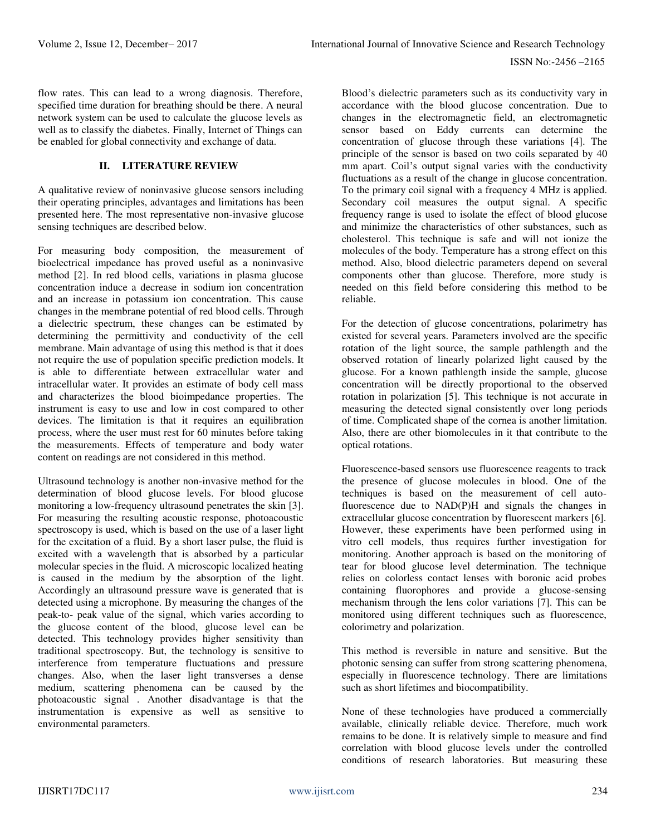flow rates. This can lead to a wrong diagnosis. Therefore, specified time duration for breathing should be there. A neural network system can be used to calculate the glucose levels as well as to classify the diabetes. Finally, Internet of Things can be enabled for global connectivity and exchange of data.

# **II. LITERATURE REVIEW**

A qualitative review of noninvasive glucose sensors including their operating principles, advantages and limitations has been presented here. The most representative non-invasive glucose sensing techniques are described below.

For measuring body composition, the measurement of bioelectrical impedance has proved useful as a noninvasive method [2]. In red blood cells, variations in plasma glucose concentration induce a decrease in sodium ion concentration and an increase in potassium ion concentration. This cause changes in the membrane potential of red blood cells. Through a dielectric spectrum, these changes can be estimated by determining the permittivity and conductivity of the cell membrane. Main advantage of using this method is that it does not require the use of population specific prediction models. It is able to differentiate between extracellular water and intracellular water. It provides an estimate of body cell mass and characterizes the blood bioimpedance properties. The instrument is easy to use and low in cost compared to other devices. The limitation is that it requires an equilibration process, where the user must rest for 60 minutes before taking the measurements. Effects of temperature and body water content on readings are not considered in this method.

Ultrasound technology is another non-invasive method for the determination of blood glucose levels. For blood glucose monitoring a low-frequency ultrasound penetrates the skin [3]. For measuring the resulting acoustic response, photoacoustic spectroscopy is used, which is based on the use of a laser light for the excitation of a fluid. By a short laser pulse, the fluid is excited with a wavelength that is absorbed by a particular molecular species in the fluid. A microscopic localized heating is caused in the medium by the absorption of the light. Accordingly an ultrasound pressure wave is generated that is detected using a microphone. By measuring the changes of the peak-to- peak value of the signal, which varies according to the glucose content of the blood, glucose level can be detected. This technology provides higher sensitivity than traditional spectroscopy. But, the technology is sensitive to interference from temperature fluctuations and pressure changes. Also, when the laser light transverses a dense medium, scattering phenomena can be caused by the photoacoustic signal . Another disadvantage is that the instrumentation is expensive as well as sensitive to environmental parameters.

Blood's dielectric parameters such as its conductivity vary in accordance with the blood glucose concentration. Due to changes in the electromagnetic field, an electromagnetic sensor based on Eddy currents can determine the concentration of glucose through these variations [4]. The principle of the sensor is based on two coils separated by 40 mm apart. Coil's output signal varies with the conductivity fluctuations as a result of the change in glucose concentration. To the primary coil signal with a frequency 4 MHz is applied. Secondary coil measures the output signal. A specific frequency range is used to isolate the effect of blood glucose and minimize the characteristics of other substances, such as cholesterol. This technique is safe and will not ionize the molecules of the body. Temperature has a strong effect on this method. Also, blood dielectric parameters depend on several components other than glucose. Therefore, more study is needed on this field before considering this method to be reliable.

For the detection of glucose concentrations, polarimetry has existed for several years. Parameters involved are the specific rotation of the light source, the sample pathlength and the observed rotation of linearly polarized light caused by the glucose. For a known pathlength inside the sample, glucose concentration will be directly proportional to the observed rotation in polarization [5]. This technique is not accurate in measuring the detected signal consistently over long periods of time. Complicated shape of the cornea is another limitation. Also, there are other biomolecules in it that contribute to the optical rotations.

Fluorescence-based sensors use fluorescence reagents to track the presence of glucose molecules in blood. One of the techniques is based on the measurement of cell autofluorescence due to NAD(P)H and signals the changes in extracellular glucose concentration by fluorescent markers [6]. However, these experiments have been performed using in vitro cell models, thus requires further investigation for monitoring. Another approach is based on the monitoring of tear for blood glucose level determination. The technique relies on colorless contact lenses with boronic acid probes containing fluorophores and provide a glucose-sensing mechanism through the lens color variations [7]. This can be monitored using different techniques such as fluorescence, colorimetry and polarization.

This method is reversible in nature and sensitive. But the photonic sensing can suffer from strong scattering phenomena, especially in fluorescence technology. There are limitations such as short lifetimes and biocompatibility.

None of these technologies have produced a commercially available, clinically reliable device. Therefore, much work remains to be done. It is relatively simple to measure and find correlation with blood glucose levels under the controlled conditions of research laboratories. But measuring these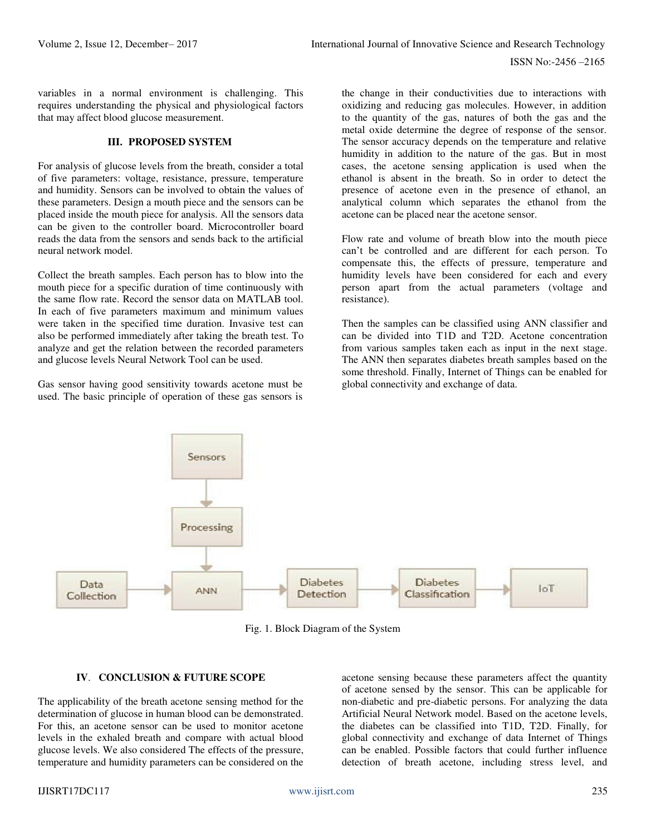variables in a normal environment is challenging. This requires understanding the physical and physiological factors that may affect blood glucose measurement.

### **III. PROPOSED SYSTEM**

For analysis of glucose levels from the breath, consider a total of five parameters: voltage, resistance, pressure, temperature and humidity. Sensors can be involved to obtain the values of these parameters. Design a mouth piece and the sensors can be placed inside the mouth piece for analysis. All the sensors data can be given to the controller board. Microcontroller board reads the data from the sensors and sends back to the artificial neural network model.

Collect the breath samples. Each person has to blow into the mouth piece for a specific duration of time continuously with the same flow rate. Record the sensor data on MATLAB tool. In each of five parameters maximum and minimum values were taken in the specified time duration. Invasive test can also be performed immediately after taking the breath test. To analyze and get the relation between the recorded parameters and glucose levels Neural Network Tool can be used.

Gas sensor having good sensitivity towards acetone must be used. The basic principle of operation of these gas sensors is

the change in their conductivities due to interactions with oxidizing and reducing gas molecules. However, in addition to the quantity of the gas, natures of both the gas and the metal oxide determine the degree of response of the sensor. The sensor accuracy depends on the temperature and relative humidity in addition to the nature of the gas. But in most cases, the acetone sensing application is used when the ethanol is absent in the breath. So in order to detect the presence of acetone even in the presence of ethanol, an analytical column which separates the ethanol from the acetone can be placed near the acetone sensor.

Flow rate and volume of breath blow into the mouth piece can't be controlled and are different for each person. To compensate this, the effects of pressure, temperature and humidity levels have been considered for each and every person apart from the actual parameters (voltage and resistance).

Then the samples can be classified using ANN classifier and can be divided into T1D and T2D. Acetone concentration from various samples taken each as input in the next stage. The ANN then separates diabetes breath samples based on the some threshold. Finally, Internet of Things can be enabled for global connectivity and exchange of data.



Fig. 1. Block Diagram of the System

# **IV**. **CONCLUSION & FUTURE SCOPE**

The applicability of the breath acetone sensing method for the determination of glucose in human blood can be demonstrated. For this, an acetone sensor can be used to monitor acetone levels in the exhaled breath and compare with actual blood glucose levels. We also considered The effects of the pressure, temperature and humidity parameters can be considered on the acetone sensing because these parameters affect the quantity of acetone sensed by the sensor. This can be applicable for non-diabetic and pre-diabetic persons. For analyzing the data Artificial Neural Network model. Based on the acetone levels, the diabetes can be classified into T1D, T2D. Finally, for global connectivity and exchange of data Internet of Things can be enabled. Possible factors that could further influence detection of breath acetone, including stress level, and